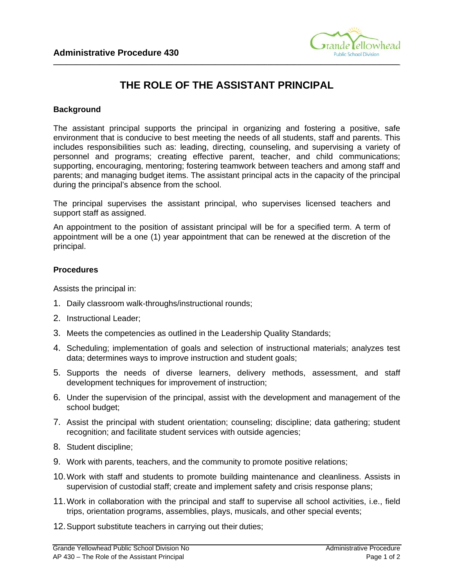

## **THE ROLE OF THE ASSISTANT PRINCIPAL**

**\_\_\_\_\_\_\_\_\_\_\_\_\_\_\_\_\_\_\_\_\_\_\_\_\_\_\_\_\_\_\_\_\_\_\_\_\_\_\_\_\_\_\_\_\_\_\_\_\_\_\_\_\_\_\_\_\_\_\_\_\_\_\_\_\_\_\_\_\_\_\_\_\_\_\_\_\_\_\_\_\_\_\_\_\_\_\_\_\_\_\_\_\_\_\_\_\_\_\_\_\_\_\_\_\_** 

## **Background**

The assistant principal supports the principal in organizing and fostering a positive, safe environment that is conducive to best meeting the needs of all students, staff and parents. This includes responsibilities such as: leading, directing, counseling, and supervising a variety of personnel and programs; creating effective parent, teacher, and child communications; supporting, encouraging, mentoring; fostering teamwork between teachers and among staff and parents; and managing budget items. The assistant principal acts in the capacity of the principal during the principal's absence from the school.

The principal supervises the assistant principal, who supervises licensed teachers and support staff as assigned.

An appointment to the position of assistant principal will be for a specified term. A term of appointment will be a one (1) year appointment that can be renewed at the discretion of the principal.

## **Procedures**

Assists the principal in:

- 1. Daily classroom walk-throughs/instructional rounds;
- 2. Instructional Leader;
- 3. Meets the competencies as outlined in the Leadership Quality Standards;
- 4. Scheduling; implementation of goals and selection of instructional materials; analyzes test data; determines ways to improve instruction and student goals;
- 5. Supports the needs of diverse learners, delivery methods, assessment, and staff development techniques for improvement of instruction;
- 6. Under the supervision of the principal, assist with the development and management of the school budget;
- 7. Assist the principal with student orientation; counseling; discipline; data gathering; student recognition; and facilitate student services with outside agencies;
- 8. Student discipline;
- 9. Work with parents, teachers, and the community to promote positive relations;
- 10.Work with staff and students to promote building maintenance and cleanliness. Assists in supervision of custodial staff; create and implement safety and crisis response plans;
- 11.Work in collaboration with the principal and staff to supervise all school activities, i.e., field trips, orientation programs, assemblies, plays, musicals, and other special events;
- 12.Support substitute teachers in carrying out their duties;